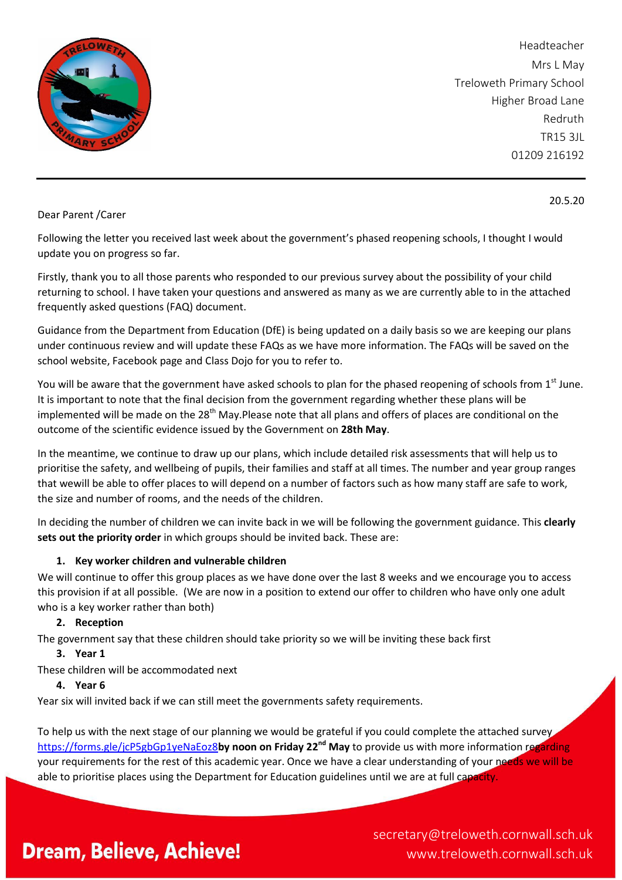

Headteacher Mrs L May Treloweth Primary School Higher Broad Lane Redruth TR15 3JL 01209 216192

20.5.20

#### Dear Parent /Carer

Following the letter you received last week about the government's phased reopening schools, I thought I would update you on progress so far.

Firstly, thank you to all those parents who responded to our previous survey about the possibility of your child returning to school. I have taken your questions and answered as many as we are currently able to in the attached frequently asked questions (FAQ) document.

Guidance from the Department from Education (DfE) is being updated on a daily basis so we are keeping our plans under continuous review and will update these FAQs as we have more information. The FAQs will be saved on the school website, Facebook page and Class Dojo for you to refer to.

You will be aware that the government have asked schools to plan for the phased reopening of schools from  $1^{st}$  June. It is important to note that the final decision from the government regarding whether these plans will be implemented will be made on the 28<sup>th</sup> May.Please note that all plans and offers of places are conditional on the outcome of the scientific evidence issued by the Government on **28th May**.

In the meantime, we continue to draw up our plans, which include detailed risk assessments that will help us to prioritise the safety, and wellbeing of pupils, their families and staff at all times. The number and year group ranges that wewill be able to offer places to will depend on a number of factors such as how many staff are safe to work, the size and number of rooms, and the needs of the children.

In deciding the number of children we can invite back in we will be following the government guidance. This **clearly sets out the priority order** in which groups should be invited back. These are:

## **1. Key worker children and vulnerable children**

We will continue to offer this group places as we have done over the last 8 weeks and we encourage you to access this provision if at all possible. (We are now in a position to extend our offer to children who have only one adult who is a key worker rather than both)

## **2. Reception**

The government say that these children should take priority so we will be inviting these back first

**3. Year 1**

These children will be accommodated next

#### **4. Year 6**

Year six will invited back if we can still meet the governments safety requirements.

To help us with the next stage of our planning we would be grateful if you could complete the attached survey <https://forms.gle/jcP5gbGp1yeNaEoz8>**by noon on Friday 22nd May** to provide us with more information regarding your requirements for the rest of this academic year. Once we have a clear understanding of your needs we will be able to prioritise places using the Department for Education guidelines until we are at full capacity.

# **Dream, Believe, Achieve!**

secretary@treloweth.cornwall.sch.uk www.treloweth.cornwall.sch.uk